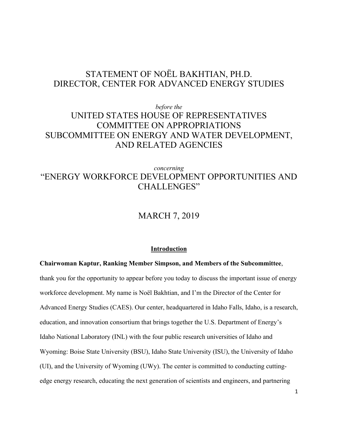# STATEMENT OF NOËL BAKHTIAN, PH.D. DIRECTOR, CENTER FOR ADVANCED ENERGY STUDIES

## *before the* UNITED STATES HOUSE OF REPRESENTATIVES COMMITTEE ON APPROPRIATIONS SUBCOMMITTEE ON ENERGY AND WATER DEVELOPMENT, AND RELATED AGENCIES

## *concerning* "ENERGY WORKFORCE DEVELOPMENT OPPORTUNITIES AND CHALLENGES"

## MARCH 7, 2019

## **Introduction**

**Chairwoman Kaptur, Ranking Member Simpson, and Members of the Subcommittee**, thank you for the opportunity to appear before you today to discuss the important issue of energy workforce development. My name is Noël Bakhtian, and I'm the Director of the Center for Advanced Energy Studies (CAES). Our center, headquartered in Idaho Falls, Idaho, is a research, education, and innovation consortium that brings together the U.S. Department of Energy's Idaho National Laboratory (INL) with the four public research universities of Idaho and Wyoming: Boise State University (BSU), Idaho State University (ISU), the University of Idaho (UI), and the University of Wyoming (UWy). The center is committed to conducting cuttingedge energy research, educating the next generation of scientists and engineers, and partnering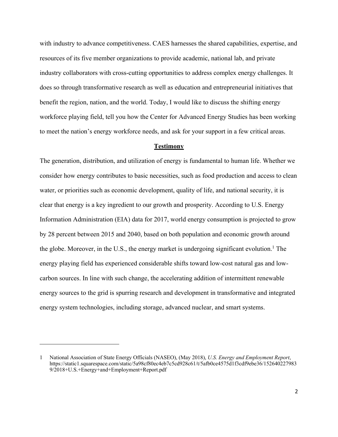with industry to advance competitiveness. CAES harnesses the shared capabilities, expertise, and resources of its five member organizations to provide academic, national lab, and private industry collaborators with cross-cutting opportunities to address complex energy challenges. It does so through transformative research as well as education and entrepreneurial initiatives that benefit the region, nation, and the world. Today, I would like to discuss the shifting energy workforce playing field, tell you how the Center for Advanced Energy Studies has been working to meet the nation's energy workforce needs, and ask for your support in a few critical areas.

## **Testimony**

The generation, distribution, and utilization of energy is fundamental to human life. Whether we consider how energy contributes to basic necessities, such as food production and access to clean water, or priorities such as economic development, quality of life, and national security, it is clear that energy is a key ingredient to our growth and prosperity. According to U.S. Energy Information Administration (EIA) data for 2017, world energy consumption is projected to grow by 28 percent between 2015 and 2040, based on both population and economic growth around the globe. Moreover, in the U.S., the energy market is undergoing significant evolution.<sup>1</sup> The energy playing field has experienced considerable shifts toward low-cost natural gas and lowcarbon sources. In line with such change, the accelerating addition of intermittent renewable energy sources to the grid is spurring research and development in transformative and integrated energy system technologies, including storage, advanced nuclear, and smart systems.

<sup>1</sup> National Association of State Energy Officials (NASEO), (May 2018), *U.S. Energy and Employment Report*, https://static1.squarespace.com/static/5a98cf80ec4eb7c5cd928c61/t/5afb0ce4575d1f3cdf9ebe36/152640227983 9/2018+U.S.+Energy+and+Employment+Report.pdf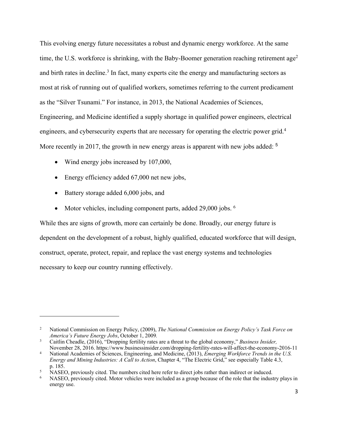This evolving energy future necessitates a robust and dynamic energy workforce. At the same time, the U.S. workforce is shrinking, with the Baby-Boomer generation reaching retirement  $\text{age}^2$ and birth rates in decline.<sup>3</sup> In fact, many experts cite the energy and manufacturing sectors as most at risk of running out of qualified workers, sometimes referring to the current predicament as the "Silver Tsunami." For instance, in 2013, the National Academies of Sciences, Engineering, and Medicine identified a supply shortage in qualified power engineers, electrical engineers, and cybersecurity experts that are necessary for operating the electric power grid.<sup>4</sup> More recently in 2017, the growth in new energy areas is apparent with new jobs added: <sup>5</sup>

- Wind energy jobs increased by 107,000,
- Energy efficiency added 67,000 net new jobs,
- Battery storage added 6,000 jobs, and

 $\overline{a}$ 

• Motor vehicles, including component parts, added 29,000 jobs. <sup>6</sup>

While thes are signs of growth, more can certainly be done. Broadly, our energy future is dependent on the development of a robust, highly qualified, educated workforce that will design, construct, operate, protect, repair, and replace the vast energy systems and technologies necessary to keep our country running effectively.

<sup>2</sup> National Commission on Energy Policy, (2009), *The National Commission on Energy Policy's Task Force on America's Future Energy Jobs*, October 1, 2009*.*

<sup>3</sup> Caitlin Cheadle, (2016), "Dropping fertility rates are a threat to the global economy," *Business Insider,* 

November 28, 2016. https://www.businessinsider.com/dropping-fertility-rates-will-affect-the-economy-2016-11 <sup>4</sup> National Academies of Sciences, Engineering, and Medicine, (2013), *Emerging Workforce Trends in the U.S. Energy and Mining Industries: A Call to Action*, Chapter 4, "The Electric Grid," see especially Table 4.3, p. 185.

<sup>&</sup>lt;sup>5</sup> NASEO, previously cited. The numbers cited here refer to direct jobs rather than indirect or induced.<br><sup>6</sup> NASEO, previously cited. Motor vehicles were included as a group because of the role that the industry plays in energy use.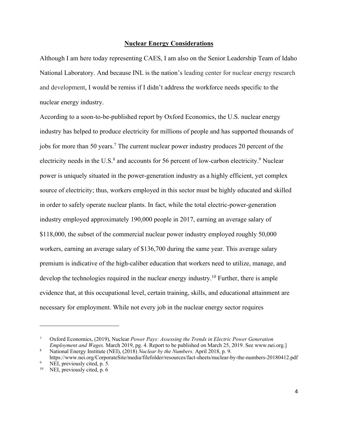## **Nuclear Energy Considerations**

Although I am here today representing CAES, I am also on the Senior Leadership Team of Idaho National Laboratory. And because INL is the nation's leading center for nuclear energy research and development, I would be remiss if I didn't address the workforce needs specific to the nuclear energy industry.

According to a soon-to-be-published report by Oxford Economics, the U.S. nuclear energy industry has helped to produce electricity for millions of people and has supported thousands of jobs for more than 50 years.<sup>7</sup> The current nuclear power industry produces 20 percent of the electricity needs in the U.S.<sup>8</sup> and accounts for 56 percent of low-carbon electricity.<sup>9</sup> Nuclear power is uniquely situated in the power-generation industry as a highly efficient, yet complex source of electricity; thus, workers employed in this sector must be highly educated and skilled in order to safely operate nuclear plants. In fact, while the total electric-power-generation industry employed approximately 190,000 people in 2017, earning an average salary of \$118,000, the subset of the commercial nuclear power industry employed roughly 50,000 workers, earning an average salary of \$136,700 during the same year. This average salary premium is indicative of the high-caliber education that workers need to utilize, manage, and develop the technologies required in the nuclear energy industry.<sup>10</sup> Further, there is ample evidence that, at this occupational level, certain training, skills, and educational attainment are necessary for employment. While not every job in the nuclear energy sector requires

<sup>7</sup> Oxford Economics, (2019), Nuclear *Power Pays: Assessing the Trends in Electric Power Generation Employment and Wages*. March 2019, pg. 4. Report to be published on March 25, 2019. See www.nei.org.]

<sup>8</sup> National Energy Institute (NEI), (2018) *Nuclear by the Numbers.* April 2018, p. 9. https://www.nei.org/CorporateSite/media/filefolder/resources/fact-sheets/nuclear-by-the-numbers-20180412.pdf

NEI, previously cited, p. 5.

 $10$  NEI, previously cited, p. 6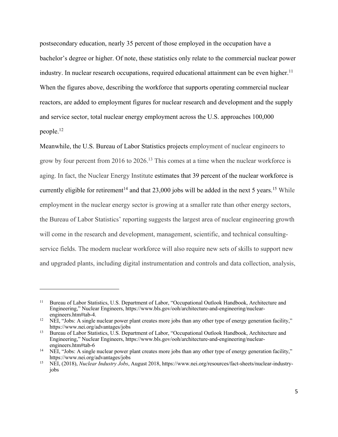postsecondary education, nearly 35 percent of those employed in the occupation have a bachelor's degree or higher. Of note, these statistics only relate to the commercial nuclear power industry. In nuclear research occupations, required educational attainment can be even higher.<sup>11</sup> When the figures above, describing the workforce that supports operating commercial nuclear reactors, are added to employment figures for nuclear research and development and the supply and service sector, total nuclear energy employment across the U.S. approaches 100,000 people.12

Meanwhile, the U.S. Bureau of Labor Statistics projects employment of nuclear engineers to grow by four percent from 2016 to 2026.<sup>13</sup> This comes at a time when the nuclear workforce is aging. In fact, the Nuclear Energy Institute estimates that 39 percent of the nuclear workforce is currently eligible for retirement<sup>14</sup> and that  $23,000$  jobs will be added in the next 5 years.<sup>15</sup> While employment in the nuclear energy sector is growing at a smaller rate than other energy sectors, the Bureau of Labor Statistics' reporting suggests the largest area of nuclear engineering growth will come in the research and development, management, scientific, and technical consultingservice fields. The modern nuclear workforce will also require new sets of skills to support new and upgraded plants, including digital instrumentation and controls and data collection, analysis,

<sup>11</sup> Bureau of Labor Statistics, U.S. Department of Labor, "Occupational Outlook Handbook, Architecture and Engineering," Nuclear Engineers, https://www.bls.gov/ooh/architecture-and-engineering/nuclearengineers.htm#tab-4.

<sup>&</sup>lt;sup>12</sup> NEI, "Jobs: A single nuclear power plant creates more jobs than any other type of energy generation facility," https://www.nei.org/advantages/jobs

<sup>&</sup>lt;sup>13</sup> Bureau of Labor Statistics, U.S. Department of Labor, "Occupational Outlook Handbook, Architecture and Engineering," Nuclear Engineers, https://www.bls.gov/ooh/architecture-and-engineering/nuclearengineers.htm#tab-6

<sup>&</sup>lt;sup>14</sup> NEI, "Jobs: A single nuclear power plant creates more jobs than any other type of energy generation facility," https://www.nei.org/advantages/jobs

<sup>15</sup> NEI, (2018), *Nuclear Industry Jobs*, August 2018, https://www.nei.org/resources/fact-sheets/nuclear-industryjobs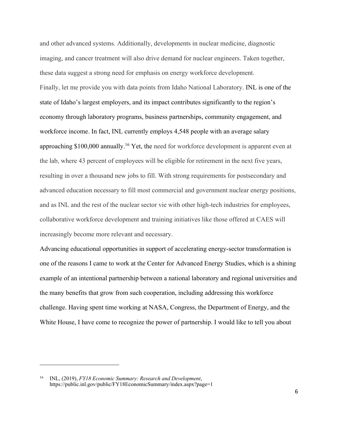and other advanced systems. Additionally, developments in nuclear medicine, diagnostic imaging, and cancer treatment will also drive demand for nuclear engineers. Taken together, these data suggest a strong need for emphasis on energy workforce development. Finally, let me provide you with data points from Idaho National Laboratory. INL is one of the state of Idaho's largest employers, and its impact contributes significantly to the region's economy through laboratory programs, business partnerships, community engagement, and workforce income. In fact, INL currently employs 4,548 people with an average salary approaching \$100,000 annually.16 Yet, the need for workforce development is apparent even at the lab, where 43 percent of employees will be eligible for retirement in the next five years, resulting in over a thousand new jobs to fill. With strong requirements for postsecondary and advanced education necessary to fill most commercial and government nuclear energy positions, and as INL and the rest of the nuclear sector vie with other high-tech industries for employees, collaborative workforce development and training initiatives like those offered at CAES will increasingly become more relevant and necessary.

Advancing educational opportunities in support of accelerating energy-sector transformation is one of the reasons I came to work at the Center for Advanced Energy Studies, which is a shining example of an intentional partnership between a national laboratory and regional universities and the many benefits that grow from such cooperation, including addressing this workforce challenge. Having spent time working at NASA, Congress, the Department of Energy, and the White House, I have come to recognize the power of partnership. I would like to tell you about

<sup>16</sup> INL, (2019), *FY18 Economic Summary: Research and Development*, https://public.inl.gov/public/FY18EconomicSummary/index.aspx?page=1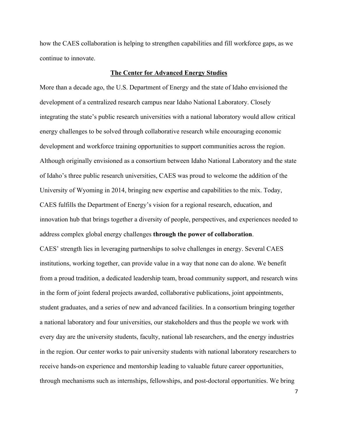how the CAES collaboration is helping to strengthen capabilities and fill workforce gaps, as we continue to innovate.

## **The Center for Advanced Energy Studies**

More than a decade ago, the U.S. Department of Energy and the state of Idaho envisioned the development of a centralized research campus near Idaho National Laboratory. Closely integrating the state's public research universities with a national laboratory would allow critical energy challenges to be solved through collaborative research while encouraging economic development and workforce training opportunities to support communities across the region. Although originally envisioned as a consortium between Idaho National Laboratory and the state of Idaho's three public research universities, CAES was proud to welcome the addition of the University of Wyoming in 2014, bringing new expertise and capabilities to the mix. Today, CAES fulfills the Department of Energy's vision for a regional research, education, and innovation hub that brings together a diversity of people, perspectives, and experiences needed to address complex global energy challenges **through the power of collaboration**. CAES' strength lies in leveraging partnerships to solve challenges in energy. Several CAES institutions, working together, can provide value in a way that none can do alone. We benefit from a proud tradition, a dedicated leadership team, broad community support, and research wins in the form of joint federal projects awarded, collaborative publications, joint appointments, student graduates, and a series of new and advanced facilities. In a consortium bringing together a national laboratory and four universities, our stakeholders and thus the people we work with every day are the university students, faculty, national lab researchers, and the energy industries in the region. Our center works to pair university students with national laboratory researchers to receive hands-on experience and mentorship leading to valuable future career opportunities,

through mechanisms such as internships, fellowships, and post-doctoral opportunities. We bring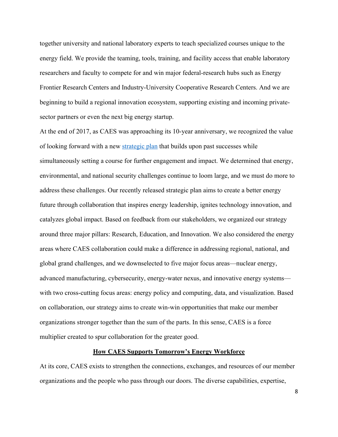together university and national laboratory experts to teach specialized courses unique to the energy field. We provide the teaming, tools, training, and facility access that enable laboratory researchers and faculty to compete for and win major federal-research hubs such as Energy Frontier Research Centers and Industry-University Cooperative Research Centers. And we are beginning to build a regional innovation ecosystem, supporting existing and incoming privatesector partners or even the next big energy startup.

At the end of 2017, as CAES was approaching its 10-year anniversary, we recognized the value of looking forward with a new strategic plan that builds upon past successes while simultaneously setting a course for further engagement and impact. We determined that energy, environmental, and national security challenges continue to loom large, and we must do more to address these challenges. Our recently released strategic plan aims to create a better energy future through collaboration that inspires energy leadership, ignites technology innovation, and catalyzes global impact. Based on feedback from our stakeholders, we organized our strategy around three major pillars: Research, Education, and Innovation. We also considered the energy areas where CAES collaboration could make a difference in addressing regional, national, and global grand challenges, and we downselected to five major focus areas—nuclear energy, advanced manufacturing, cybersecurity, energy-water nexus, and innovative energy systems with two cross-cutting focus areas: energy policy and computing, data, and visualization. Based on collaboration, our strategy aims to create win-win opportunities that make our member organizations stronger together than the sum of the parts. In this sense, CAES is a force multiplier created to spur collaboration for the greater good.

## **How CAES Supports Tomorrow's Energy Workforce**

At its core, CAES exists to strengthen the connections, exchanges, and resources of our member organizations and the people who pass through our doors. The diverse capabilities, expertise,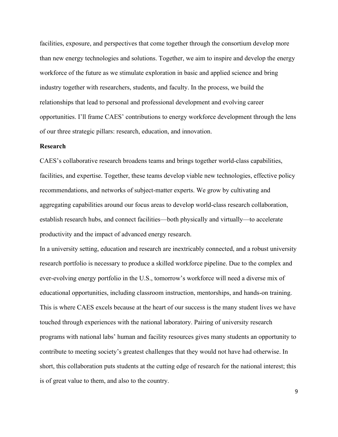facilities, exposure, and perspectives that come together through the consortium develop more than new energy technologies and solutions. Together, we aim to inspire and develop the energy workforce of the future as we stimulate exploration in basic and applied science and bring industry together with researchers, students, and faculty. In the process, we build the relationships that lead to personal and professional development and evolving career opportunities. I'll frame CAES' contributions to energy workforce development through the lens of our three strategic pillars: research, education, and innovation.

## **Research**

CAES's collaborative research broadens teams and brings together world-class capabilities, facilities, and expertise. Together, these teams develop viable new technologies, effective policy recommendations, and networks of subject-matter experts. We grow by cultivating and aggregating capabilities around our focus areas to develop world-class research collaboration, establish research hubs, and connect facilities—both physically and virtually—to accelerate productivity and the impact of advanced energy research.

In a university setting, education and research are inextricably connected, and a robust university research portfolio is necessary to produce a skilled workforce pipeline. Due to the complex and ever-evolving energy portfolio in the U.S., tomorrow's workforce will need a diverse mix of educational opportunities, including classroom instruction, mentorships, and hands-on training. This is where CAES excels because at the heart of our success is the many student lives we have touched through experiences with the national laboratory. Pairing of university research programs with national labs' human and facility resources gives many students an opportunity to contribute to meeting society's greatest challenges that they would not have had otherwise. In short, this collaboration puts students at the cutting edge of research for the national interest; this is of great value to them, and also to the country.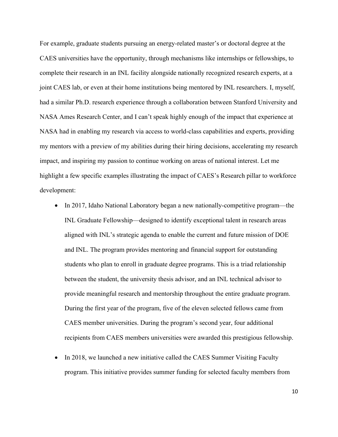For example, graduate students pursuing an energy-related master's or doctoral degree at the CAES universities have the opportunity, through mechanisms like internships or fellowships, to complete their research in an INL facility alongside nationally recognized research experts, at a joint CAES lab, or even at their home institutions being mentored by INL researchers. I, myself, had a similar Ph.D. research experience through a collaboration between Stanford University and NASA Ames Research Center, and I can't speak highly enough of the impact that experience at NASA had in enabling my research via access to world-class capabilities and experts, providing my mentors with a preview of my abilities during their hiring decisions, accelerating my research impact, and inspiring my passion to continue working on areas of national interest. Let me highlight a few specific examples illustrating the impact of CAES's Research pillar to workforce development:

- In 2017, Idaho National Laboratory began a new nationally-competitive program—the INL Graduate Fellowship—designed to identify exceptional talent in research areas aligned with INL's strategic agenda to enable the current and future mission of DOE and INL. The program provides mentoring and financial support for outstanding students who plan to enroll in graduate degree programs. This is a triad relationship between the student, the university thesis advisor, and an INL technical advisor to provide meaningful research and mentorship throughout the entire graduate program. During the first year of the program, five of the eleven selected fellows came from CAES member universities. During the program's second year, four additional recipients from CAES members universities were awarded this prestigious fellowship.
- In 2018, we launched a new initiative called the CAES Summer Visiting Faculty program. This initiative provides summer funding for selected faculty members from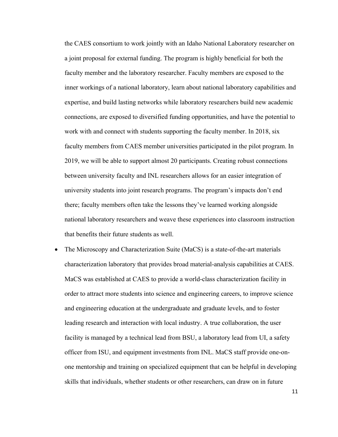the CAES consortium to work jointly with an Idaho National Laboratory researcher on a joint proposal for external funding. The program is highly beneficial for both the faculty member and the laboratory researcher. Faculty members are exposed to the inner workings of a national laboratory, learn about national laboratory capabilities and expertise, and build lasting networks while laboratory researchers build new academic connections, are exposed to diversified funding opportunities, and have the potential to work with and connect with students supporting the faculty member. In 2018, six faculty members from CAES member universities participated in the pilot program. In 2019, we will be able to support almost 20 participants. Creating robust connections between university faculty and INL researchers allows for an easier integration of university students into joint research programs. The program's impacts don't end there; faculty members often take the lessons they've learned working alongside national laboratory researchers and weave these experiences into classroom instruction that benefits their future students as well.

The Microscopy and Characterization Suite (MaCS) is a state-of-the-art materials characterization laboratory that provides broad material-analysis capabilities at CAES. MaCS was established at CAES to provide a world-class characterization facility in order to attract more students into science and engineering careers, to improve science and engineering education at the undergraduate and graduate levels, and to foster leading research and interaction with local industry. A true collaboration, the user facility is managed by a technical lead from BSU, a laboratory lead from UI, a safety officer from ISU, and equipment investments from INL. MaCS staff provide one-onone mentorship and training on specialized equipment that can be helpful in developing skills that individuals, whether students or other researchers, can draw on in future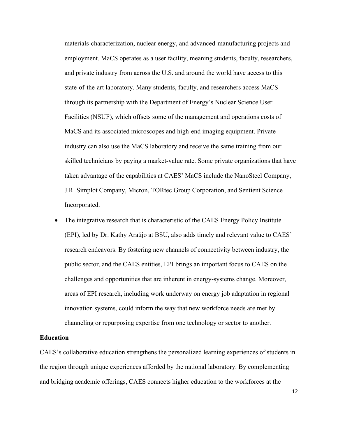materials-characterization, nuclear energy, and advanced-manufacturing projects and employment. MaCS operates as a user facility, meaning students, faculty, researchers, and private industry from across the U.S. and around the world have access to this state-of-the-art laboratory. Many students, faculty, and researchers access MaCS through its partnership with the Department of Energy's Nuclear Science User Facilities (NSUF), which offsets some of the management and operations costs of MaCS and its associated microscopes and high-end imaging equipment. Private industry can also use the MaCS laboratory and receive the same training from our skilled technicians by paying a market-value rate. Some private organizations that have taken advantage of the capabilities at CAES' MaCS include the NanoSteel Company, J.R. Simplot Company, Micron, TORtec Group Corporation, and Sentient Science Incorporated.

• The integrative research that is characteristic of the CAES Energy Policy Institute (EPI), led by Dr. Kathy Araújo at BSU, also adds timely and relevant value to CAES' research endeavors. By fostering new channels of connectivity between industry, the public sector, and the CAES entities, EPI brings an important focus to CAES on the challenges and opportunities that are inherent in energy-systems change. Moreover, areas of EPI research, including work underway on energy job adaptation in regional innovation systems, could inform the way that new workforce needs are met by channeling or repurposing expertise from one technology or sector to another.

## **Education**

CAES's collaborative education strengthens the personalized learning experiences of students in the region through unique experiences afforded by the national laboratory. By complementing and bridging academic offerings, CAES connects higher education to the workforces at the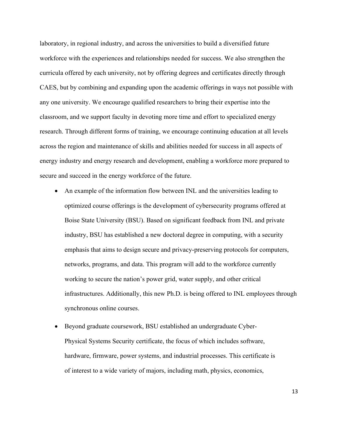laboratory, in regional industry, and across the universities to build a diversified future workforce with the experiences and relationships needed for success. We also strengthen the curricula offered by each university, not by offering degrees and certificates directly through CAES, but by combining and expanding upon the academic offerings in ways not possible with any one university. We encourage qualified researchers to bring their expertise into the classroom, and we support faculty in devoting more time and effort to specialized energy research. Through different forms of training, we encourage continuing education at all levels across the region and maintenance of skills and abilities needed for success in all aspects of energy industry and energy research and development, enabling a workforce more prepared to secure and succeed in the energy workforce of the future.

- An example of the information flow between INL and the universities leading to optimized course offerings is the development of cybersecurity programs offered at Boise State University (BSU). Based on significant feedback from INL and private industry, BSU has established a new doctoral degree in computing, with a security emphasis that aims to design secure and privacy-preserving protocols for computers, networks, programs, and data. This program will add to the workforce currently working to secure the nation's power grid, water supply, and other critical infrastructures. Additionally, this new Ph.D. is being offered to INL employees through synchronous online courses.
- Beyond graduate coursework, BSU established an undergraduate Cyber-Physical Systems Security certificate, the focus of which includes software, hardware, firmware, power systems, and industrial processes. This certificate is of interest to a wide variety of majors, including math, physics, economics,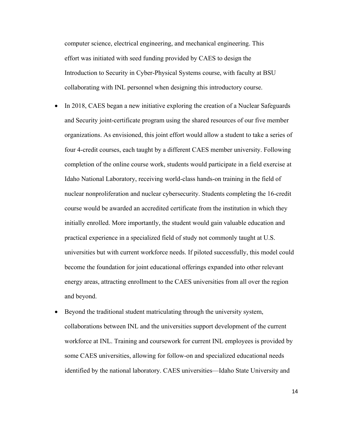computer science, electrical engineering, and mechanical engineering. This effort was initiated with seed funding provided by CAES to design the Introduction to Security in Cyber-Physical Systems course, with faculty at BSU collaborating with INL personnel when designing this introductory course.

- In 2018, CAES began a new initiative exploring the creation of a Nuclear Safeguards and Security joint-certificate program using the shared resources of our five member organizations. As envisioned, this joint effort would allow a student to take a series of four 4-credit courses, each taught by a different CAES member university. Following completion of the online course work, students would participate in a field exercise at Idaho National Laboratory, receiving world-class hands-on training in the field of nuclear nonproliferation and nuclear cybersecurity. Students completing the 16-credit course would be awarded an accredited certificate from the institution in which they initially enrolled. More importantly, the student would gain valuable education and practical experience in a specialized field of study not commonly taught at U.S. universities but with current workforce needs. If piloted successfully, this model could become the foundation for joint educational offerings expanded into other relevant energy areas, attracting enrollment to the CAES universities from all over the region and beyond.
- Beyond the traditional student matriculating through the university system, collaborations between INL and the universities support development of the current workforce at INL. Training and coursework for current INL employees is provided by some CAES universities, allowing for follow-on and specialized educational needs identified by the national laboratory. CAES universities—Idaho State University and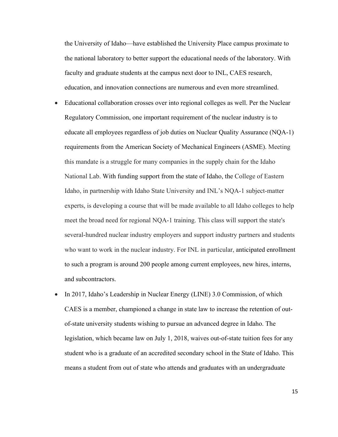the University of Idaho—have established the University Place campus proximate to the national laboratory to better support the educational needs of the laboratory. With faculty and graduate students at the campus next door to INL, CAES research, education, and innovation connections are numerous and even more streamlined.

- Educational collaboration crosses over into regional colleges as well. Per the Nuclear Regulatory Commission, one important requirement of the nuclear industry is to educate all employees regardless of job duties on Nuclear Quality Assurance (NQA-1) requirements from the American Society of Mechanical Engineers (ASME). Meeting this mandate is a struggle for many companies in the supply chain for the Idaho National Lab. With funding support from the state of Idaho, the College of Eastern Idaho, in partnership with Idaho State University and INL's NQA-1 subject-matter experts, is developing a course that will be made available to all Idaho colleges to help meet the broad need for regional NQA-1 training. This class will support the state's several-hundred nuclear industry employers and support industry partners and students who want to work in the nuclear industry. For INL in particular, anticipated enrollment to such a program is around 200 people among current employees, new hires, interns, and subcontractors.
- In 2017, Idaho's Leadership in Nuclear Energy (LINE) 3.0 Commission, of which CAES is a member, championed a change in state law to increase the retention of outof-state university students wishing to pursue an advanced degree in Idaho. The legislation, which became law on July 1, 2018, waives out-of-state tuition fees for any student who is a graduate of an accredited secondary school in the State of Idaho. This means a student from out of state who attends and graduates with an undergraduate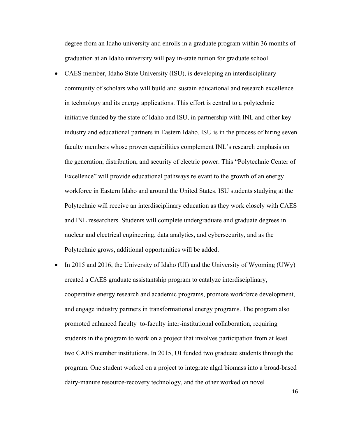degree from an Idaho university and enrolls in a graduate program within 36 months of graduation at an Idaho university will pay in-state tuition for graduate school.

- CAES member, Idaho State University (ISU), is developing an interdisciplinary community of scholars who will build and sustain educational and research excellence in technology and its energy applications. This effort is central to a polytechnic initiative funded by the state of Idaho and ISU, in partnership with INL and other key industry and educational partners in Eastern Idaho. ISU is in the process of hiring seven faculty members whose proven capabilities complement INL's research emphasis on the generation, distribution, and security of electric power. This "Polytechnic Center of Excellence" will provide educational pathways relevant to the growth of an energy workforce in Eastern Idaho and around the United States. ISU students studying at the Polytechnic will receive an interdisciplinary education as they work closely with CAES and INL researchers. Students will complete undergraduate and graduate degrees in nuclear and electrical engineering, data analytics, and cybersecurity, and as the Polytechnic grows, additional opportunities will be added.
- In 2015 and 2016, the University of Idaho (UI) and the University of Wyoming (UWy) created a CAES graduate assistantship program to catalyze interdisciplinary, cooperative energy research and academic programs, promote workforce development, and engage industry partners in transformational energy programs. The program also promoted enhanced faculty–to-faculty inter-institutional collaboration, requiring students in the program to work on a project that involves participation from at least two CAES member institutions. In 2015, UI funded two graduate students through the program. One student worked on a project to integrate algal biomass into a broad-based dairy-manure resource-recovery technology, and the other worked on novel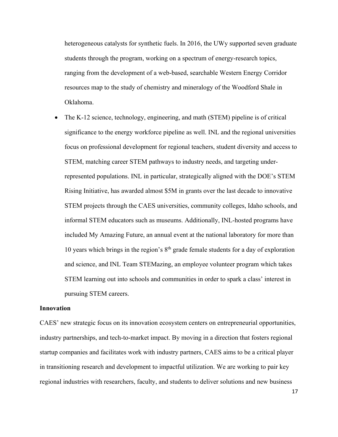heterogeneous catalysts for synthetic fuels. In 2016, the UWy supported seven graduate students through the program, working on a spectrum of energy-research topics, ranging from the development of a web-based, searchable Western Energy Corridor resources map to the study of chemistry and mineralogy of the Woodford Shale in Oklahoma.

• The K-12 science, technology, engineering, and math (STEM) pipeline is of critical significance to the energy workforce pipeline as well. INL and the regional universities focus on professional development for regional teachers, student diversity and access to STEM, matching career STEM pathways to industry needs, and targeting underrepresented populations. INL in particular, strategically aligned with the DOE's STEM Rising Initiative, has awarded almost \$5M in grants over the last decade to innovative STEM projects through the CAES universities, community colleges, Idaho schools, and informal STEM educators such as museums. Additionally, INL-hosted programs have included My Amazing Future, an annual event at the national laboratory for more than 10 years which brings in the region's  $8<sup>th</sup>$  grade female students for a day of exploration and science, and INL Team STEMazing, an employee volunteer program which takes STEM learning out into schools and communities in order to spark a class' interest in pursuing STEM careers.

## **Innovation**

CAES' new strategic focus on its innovation ecosystem centers on entrepreneurial opportunities, industry partnerships, and tech-to-market impact. By moving in a direction that fosters regional startup companies and facilitates work with industry partners, CAES aims to be a critical player in transitioning research and development to impactful utilization. We are working to pair key regional industries with researchers, faculty, and students to deliver solutions and new business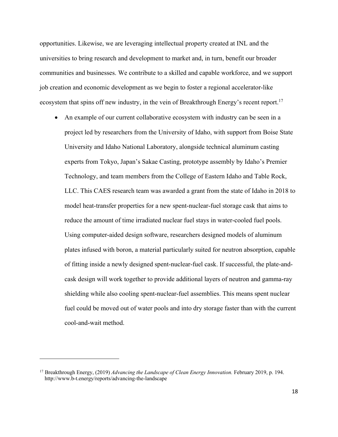opportunities. Likewise, we are leveraging intellectual property created at INL and the universities to bring research and development to market and, in turn, benefit our broader communities and businesses. We contribute to a skilled and capable workforce, and we support job creation and economic development as we begin to foster a regional accelerator-like ecosystem that spins off new industry, in the vein of Breakthrough Energy's recent report.<sup>17</sup>

• An example of our current collaborative ecosystem with industry can be seen in a project led by researchers from the University of Idaho, with support from Boise State University and Idaho National Laboratory, alongside technical aluminum casting experts from Tokyo, Japan's Sakae Casting, prototype assembly by Idaho's Premier Technology, and team members from the College of Eastern Idaho and Table Rock, LLC. This CAES research team was awarded a grant from the state of Idaho in 2018 to model heat-transfer properties for a new spent-nuclear-fuel storage cask that aims to reduce the amount of time irradiated nuclear fuel stays in water-cooled fuel pools. Using computer-aided design software, researchers designed models of aluminum plates infused with boron, a material particularly suited for neutron absorption, capable of fitting inside a newly designed spent-nuclear-fuel cask. If successful, the plate-andcask design will work together to provide additional layers of neutron and gamma-ray shielding while also cooling spent-nuclear-fuel assemblies. This means spent nuclear fuel could be moved out of water pools and into dry storage faster than with the current cool-and-wait method.

<sup>17</sup> Breakthrough Energy, (2019) *Advancing the Landscape of Clean Energy Innovation.* February 2019, p. 194. http://www.b-t.energy/reports/advancing-the-landscape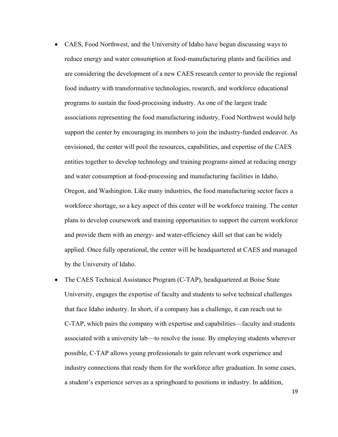- CAES, Food Northwest, and the University of Idaho have begun discussing ways to reduce energy and water consumption at food-manufacturing plants and facilities and are considering the development of a new CAES research center to provide the regional food industry with transformative technologies, research, and workforce educational programs to sustain the food-processing industry. As one of the largest trade associations representing the food manufacturing industry, Food Northwest would help support the center by encouraging its members to join the industry-funded endeavor. As envisioned, the center will pool the resources, capabilities, and expertise of the CAES entities together to develop technology and training programs aimed at reducing energy and water consumption at food-processing and manufacturing facilities in Idaho, Oregon, and Washington. Like many industries, the food manufacturing sector faces a workforce shortage, so a key aspect of this center will be workforce training. The center plans to develop coursework and training opportunities to support the current workforce and provide them with an energy- and water-efficiency skill set that can be widely applied. Once fully operational, the center will be headquartered at CAES and managed by the University of Idaho.
- The CAES Technical Assistance Program (C-TAP), headquartered at Boise State University, engages the expertise of faculty and students to solve technical challenges that face Idaho industry. In short, if a company has a challenge, it can reach out to C-TAP, which pairs the company with expertise and capabilities—faculty and students associated with a university lab—to resolve the issue. By employing students wherever possible, C-TAP allows young professionals to gain relevant work experience and industry connections that ready them for the workforce after graduation. In some cases, a student's experience serves as a springboard to positions in industry. In addition,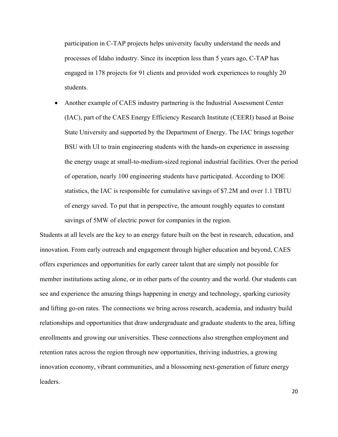participation in C-TAP projects helps university faculty understand the needs and processes of Idaho industry. Since its inception less than 5 years ago, C-TAP has engaged in 178 projects for 91 clients and provided work experiences to roughly 20 students.

• Another example of CAES industry partnering is the Industrial Assessment Center (IAC), part of the CAES Energy Efficiency Research Institute (CEERI) based at Boise State University and supported by the Department of Energy. The IAC brings together BSU with UI to train engineering students with the hands-on experience in assessing the energy usage at small-to-medium-sized regional industrial facilities. Over the period of operation, nearly 100 engineering students have participated. According to DOE statistics, the IAC is responsible for cumulative savings of \$7.2M and over 1.1 TBTU of energy saved. To put that in perspective, the amount roughly equates to constant savings of 5MW of electric power for companies in the region.

Students at all levels are the key to an energy future built on the best in research, education, and innovation. From early outreach and engagement through higher education and beyond, CAES offers experiences and opportunities for early career talent that are simply not possible for member institutions acting alone, or in other parts of the country and the world. Our students can see and experience the amazing things happening in energy and technology, sparking curiosity and lifting go-on rates. The connections we bring across research, academia, and industry build relationships and opportunities that draw undergraduate and graduate students to the area, lifting enrollments and growing our universities. These connections also strengthen employment and retention rates across the region through new opportunities, thriving industries, a growing innovation economy, vibrant communities, and a blossoming next-generation of future energy leaders.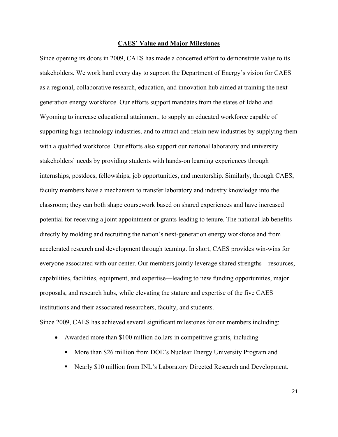#### **CAES' Value and Major Milestones**

Since opening its doors in 2009, CAES has made a concerted effort to demonstrate value to its stakeholders. We work hard every day to support the Department of Energy's vision for CAES as a regional, collaborative research, education, and innovation hub aimed at training the nextgeneration energy workforce. Our efforts support mandates from the states of Idaho and Wyoming to increase educational attainment, to supply an educated workforce capable of supporting high-technology industries, and to attract and retain new industries by supplying them with a qualified workforce. Our efforts also support our national laboratory and university stakeholders' needs by providing students with hands-on learning experiences through internships, postdocs, fellowships, job opportunities, and mentorship. Similarly, through CAES, faculty members have a mechanism to transfer laboratory and industry knowledge into the classroom; they can both shape coursework based on shared experiences and have increased potential for receiving a joint appointment or grants leading to tenure. The national lab benefits directly by molding and recruiting the nation's next-generation energy workforce and from accelerated research and development through teaming. In short, CAES provides win-wins for everyone associated with our center. Our members jointly leverage shared strengths—resources, capabilities, facilities, equipment, and expertise—leading to new funding opportunities, major proposals, and research hubs, while elevating the stature and expertise of the five CAES institutions and their associated researchers, faculty, and students.

Since 2009, CAES has achieved several significant milestones for our members including:

- Awarded more than \$100 million dollars in competitive grants, including
	- More than \$26 million from DOE's Nuclear Energy University Program and
	- Nearly \$10 million from INL's Laboratory Directed Research and Development.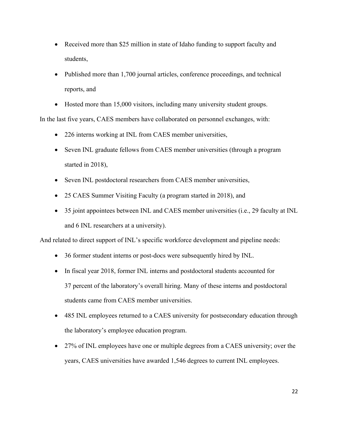- Received more than \$25 million in state of Idaho funding to support faculty and students,
- Published more than 1,700 journal articles, conference proceedings, and technical reports, and
- Hosted more than 15,000 visitors, including many university student groups.

In the last five years, CAES members have collaborated on personnel exchanges, with:

- 226 interns working at INL from CAES member universities,
- Seven INL graduate fellows from CAES member universities (through a program started in 2018),
- Seven INL postdoctoral researchers from CAES member universities,
- 25 CAES Summer Visiting Faculty (a program started in 2018), and
- 35 joint appointees between INL and CAES member universities (i.e., 29 faculty at INL and 6 INL researchers at a university).

And related to direct support of INL's specific workforce development and pipeline needs:

- 36 former student interns or post-docs were subsequently hired by INL.
- In fiscal year 2018, former INL interns and postdoctoral students accounted for 37 percent of the laboratory's overall hiring. Many of these interns and postdoctoral students came from CAES member universities.
- 485 INL employees returned to a CAES university for postsecondary education through the laboratory's employee education program.
- 27% of INL employees have one or multiple degrees from a CAES university; over the years, CAES universities have awarded 1,546 degrees to current INL employees.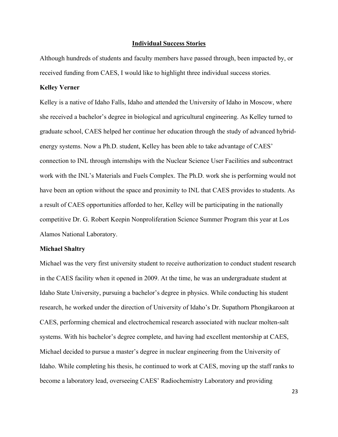#### **Individual Success Stories**

Although hundreds of students and faculty members have passed through, been impacted by, or received funding from CAES, I would like to highlight three individual success stories.

## **Kelley Verner**

Kelley is a native of Idaho Falls, Idaho and attended the University of Idaho in Moscow, where she received a bachelor's degree in biological and agricultural engineering. As Kelley turned to graduate school, CAES helped her continue her education through the study of advanced hybridenergy systems. Now a Ph.D. student, Kelley has been able to take advantage of CAES' connection to INL through internships with the Nuclear Science User Facilities and subcontract work with the INL's Materials and Fuels Complex. The Ph.D. work she is performing would not have been an option without the space and proximity to INL that CAES provides to students. As a result of CAES opportunities afforded to her, Kelley will be participating in the nationally competitive Dr. G. Robert Keepin Nonproliferation Science Summer Program this year at Los Alamos National Laboratory.

## **Michael Shaltry**

Michael was the very first university student to receive authorization to conduct student research in the CAES facility when it opened in 2009. At the time, he was an undergraduate student at Idaho State University, pursuing a bachelor's degree in physics. While conducting his student research, he worked under the direction of University of Idaho's Dr. Supathorn Phongikaroon at CAES, performing chemical and electrochemical research associated with nuclear molten-salt systems. With his bachelor's degree complete, and having had excellent mentorship at CAES, Michael decided to pursue a master's degree in nuclear engineering from the University of Idaho. While completing his thesis, he continued to work at CAES, moving up the staff ranks to become a laboratory lead, overseeing CAES' Radiochemistry Laboratory and providing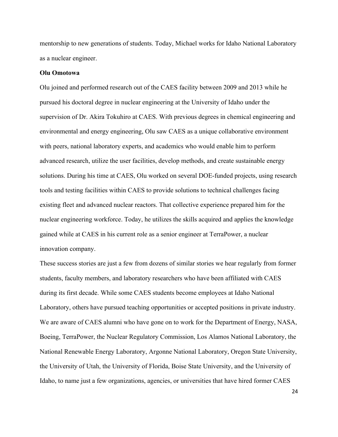mentorship to new generations of students. Today, Michael works for Idaho National Laboratory as a nuclear engineer.

### **Olu Omotowa**

Olu joined and performed research out of the CAES facility between 2009 and 2013 while he pursued his doctoral degree in nuclear engineering at the University of Idaho under the supervision of Dr. Akira Tokuhiro at CAES. With previous degrees in chemical engineering and environmental and energy engineering, Olu saw CAES as a unique collaborative environment with peers, national laboratory experts, and academics who would enable him to perform advanced research, utilize the user facilities, develop methods, and create sustainable energy solutions. During his time at CAES, Olu worked on several DOE-funded projects, using research tools and testing facilities within CAES to provide solutions to technical challenges facing existing fleet and advanced nuclear reactors. That collective experience prepared him for the nuclear engineering workforce. Today, he utilizes the skills acquired and applies the knowledge gained while at CAES in his current role as a senior engineer at TerraPower, a nuclear innovation company.

These success stories are just a few from dozens of similar stories we hear regularly from former students, faculty members, and laboratory researchers who have been affiliated with CAES during its first decade. While some CAES students become employees at Idaho National Laboratory, others have pursued teaching opportunities or accepted positions in private industry. We are aware of CAES alumni who have gone on to work for the Department of Energy, NASA, Boeing, TerraPower, the Nuclear Regulatory Commission, Los Alamos National Laboratory, the National Renewable Energy Laboratory, Argonne National Laboratory, Oregon State University, the University of Utah, the University of Florida, Boise State University, and the University of Idaho, to name just a few organizations, agencies, or universities that have hired former CAES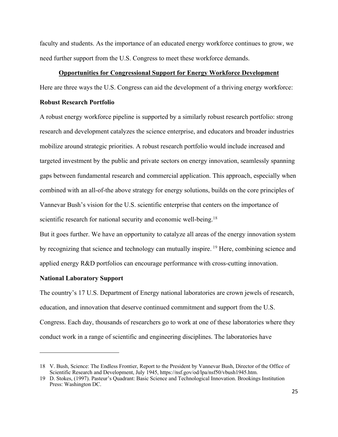faculty and students. As the importance of an educated energy workforce continues to grow, we need further support from the U.S. Congress to meet these workforce demands.

### **Opportunities for Congressional Support for Energy Workforce Development**

Here are three ways the U.S. Congress can aid the development of a thriving energy workforce:

## **Robust Research Portfolio**

A robust energy workforce pipeline is supported by a similarly robust research portfolio: strong research and development catalyzes the science enterprise, and educators and broader industries mobilize around strategic priorities. A robust research portfolio would include increased and targeted investment by the public and private sectors on energy innovation, seamlessly spanning gaps between fundamental research and commercial application. This approach, especially when combined with an all-of-the above strategy for energy solutions, builds on the core principles of Vannevar Bush's vision for the U.S. scientific enterprise that centers on the importance of scientific research for national security and economic well-being.<sup>18</sup>

But it goes further. We have an opportunity to catalyze all areas of the energy innovation system by recognizing that science and technology can mutually inspire. <sup>19</sup> Here, combining science and applied energy R&D portfolios can encourage performance with cross-cutting innovation.

#### **National Laboratory Support**

 $\overline{a}$ 

The country's 17 U.S. Department of Energy national laboratories are crown jewels of research, education, and innovation that deserve continued commitment and support from the U.S. Congress. Each day, thousands of researchers go to work at one of these laboratories where they conduct work in a range of scientific and engineering disciplines. The laboratories have

<sup>18</sup> V. Bush, Science: The Endless Frontier, Report to the President by Vannevar Bush, Director of the Office of Scientific Research and Development, July 1945, https://nsf.gov/od/lpa/nsf50/vbush1945.htm.

<sup>19</sup> D. Stokes, (1997). Pasteur's Quadrant: Basic Science and Technological Innovation. Brookings Institution Press: Washington DC.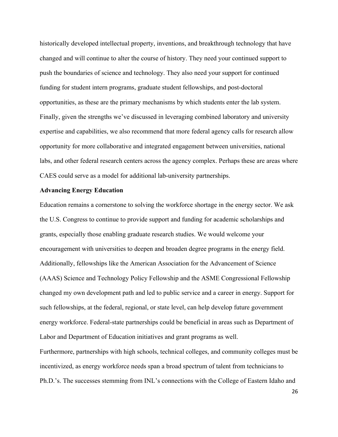historically developed intellectual property, inventions, and breakthrough technology that have changed and will continue to alter the course of history. They need your continued support to push the boundaries of science and technology. They also need your support for continued funding for student intern programs, graduate student fellowships, and post-doctoral opportunities, as these are the primary mechanisms by which students enter the lab system. Finally, given the strengths we've discussed in leveraging combined laboratory and university expertise and capabilities, we also recommend that more federal agency calls for research allow opportunity for more collaborative and integrated engagement between universities, national labs, and other federal research centers across the agency complex. Perhaps these are areas where CAES could serve as a model for additional lab-university partnerships.

## **Advancing Energy Education**

Education remains a cornerstone to solving the workforce shortage in the energy sector. We ask the U.S. Congress to continue to provide support and funding for academic scholarships and grants, especially those enabling graduate research studies. We would welcome your encouragement with universities to deepen and broaden degree programs in the energy field. Additionally, fellowships like the American Association for the Advancement of Science (AAAS) Science and Technology Policy Fellowship and the ASME Congressional Fellowship changed my own development path and led to public service and a career in energy. Support for such fellowships, at the federal, regional, or state level, can help develop future government energy workforce. Federal-state partnerships could be beneficial in areas such as Department of Labor and Department of Education initiatives and grant programs as well.

Furthermore, partnerships with high schools, technical colleges, and community colleges must be incentivized, as energy workforce needs span a broad spectrum of talent from technicians to Ph.D.'s. The successes stemming from INL's connections with the College of Eastern Idaho and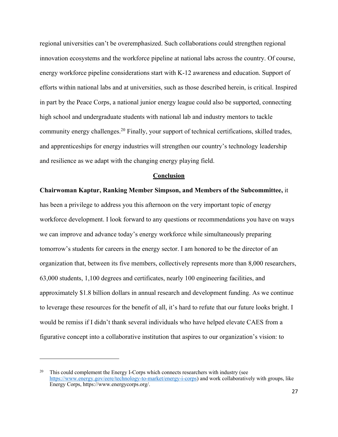regional universities can't be overemphasized. Such collaborations could strengthen regional innovation ecosystems and the workforce pipeline at national labs across the country. Of course, energy workforce pipeline considerations start with K-12 awareness and education. Support of efforts within national labs and at universities, such as those described herein, is critical. Inspired in part by the Peace Corps, a national junior energy league could also be supported, connecting high school and undergraduate students with national lab and industry mentors to tackle community energy challenges.20 Finally, your support of technical certifications, skilled trades, and apprenticeships for energy industries will strengthen our country's technology leadership and resilience as we adapt with the changing energy playing field.

#### **Conclusion**

**Chairwoman Kaptur, Ranking Member Simpson, and Members of the Subcommittee,** it has been a privilege to address you this afternoon on the very important topic of energy workforce development. I look forward to any questions or recommendations you have on ways we can improve and advance today's energy workforce while simultaneously preparing tomorrow's students for careers in the energy sector. I am honored to be the director of an organization that, between its five members, collectively represents more than 8,000 researchers, 63,000 students, 1,100 degrees and certificates, nearly 100 engineering facilities, and approximately \$1.8 billion dollars in annual research and development funding. As we continue to leverage these resources for the benefit of all, it's hard to refute that our future looks bright. I would be remiss if I didn't thank several individuals who have helped elevate CAES from a figurative concept into a collaborative institution that aspires to our organization's vision: to

This could complement the Energy I-Corps which connects researchers with industry (see https://www.energy.gov/eere/technology-to-market/energy-i-corps) and work collaboratively with groups, like Energy Corps, https://www.energycorps.org/.